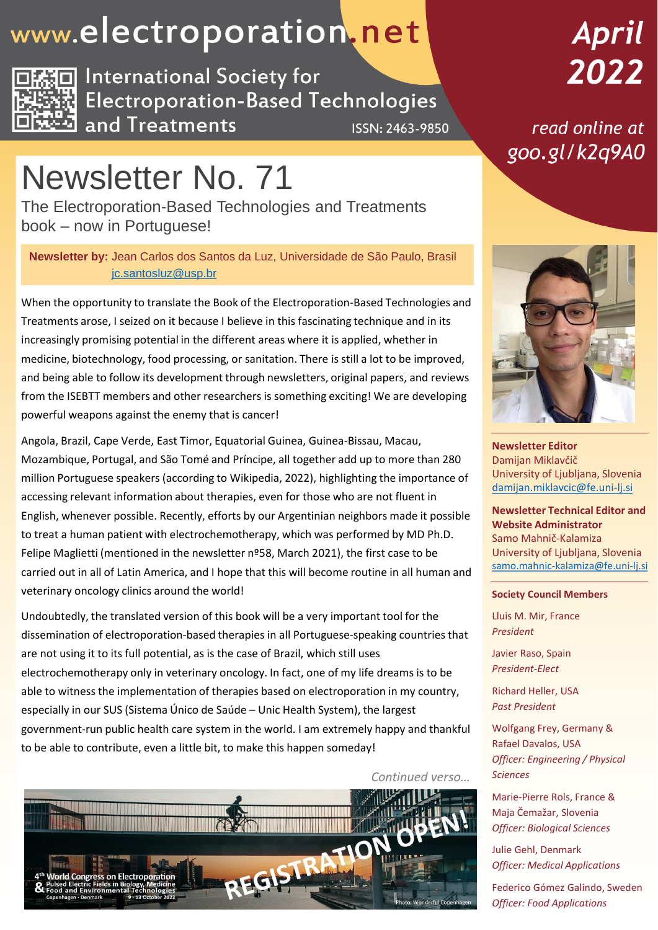## www.electroporation.net



**International Society for Electroporation-Based Technologies** and Treatments **ISSN: 2463-9850** 

# April 2022

read online at goo.gl/k2q9A0

# Newsletter No. 71

The Electroporation-Based Technologies and Treatments book – now in Portuguese!

**Newsletter by:** Jean Carlos dos Santos da Luz, Universidade de São Paulo, Brasil [jc.santosluz@usp.br](mailto:jc.santosluz@usp.br)

When the opportunity to translate the Book of the Electroporation-Based Technologies and Treatments arose, I seized on it because I believe in this fascinating technique and in its increasingly promising potential in the different areas where it is applied, whether in medicine, biotechnology, food processing, or sanitation. There is still a lot to be improved, and being able to follow its development through newsletters, original papers, and reviews from the ISEBTT members and other researchers is something exciting! We are developing powerful weapons against the enemy that is cancer!

Angola, Brazil, Cape Verde, East Timor, Equatorial Guinea, Guinea-Bissau, Macau, Mozambique, Portugal, and São Tomé and Príncipe, all together add up to more than 280 million Portuguese speakers (according to Wikipedia, 2022), highlighting the importance of accessing relevant information about therapies, even for those who are not fluent in English, whenever possible. Recently, efforts by our Argentinian neighbors made it possible to treat a human patient with electrochemotherapy, which was performed by MD Ph.D. Felipe Maglietti (mentioned in the newsletter nº58, March 2021), the first case to be carried out in all of Latin America, and I hope that this will become routine in all human and veterinary oncology clinics around the world!

Undoubtedly, the translated version of this book will be a very important tool for the dissemination of electroporation-based therapies in all Portuguese-speaking countries that are not using it to its full potential, as is the case of Brazil, which still uses electrochemotherapy only in veterinary oncology. In fact, one of my life dreams is to be able to witness the implementation of therapies based on electroporation in my country, especially in our SUS (Sistema Único de Saúde – Unic Health System), the largest government-run public health care system in the world. I am extremely happy and thankful to be able to contribute, even a little bit, to make this happen someday!



**Newsletter Editor** Damijan Miklavčič University of Ljubljana, Slovenia [damijan.miklavcic@fe.uni-lj.si](mailto:damijan.miklavcic@fe.uni-lj.si)

**Newsletter Technical Editor and Website Administrator** Samo Mahnič-Kalamiza University of Ljubljana, Slovenia [samo.mahnic-kalamiza@fe.uni-lj.si](mailto:samo.mahnic-kalamiza@fe.uni-lj.si)

### **Society Council Members**

Lluis M. Mir, France *President*

Javier Raso, Spain *President-Elect*

Richard Heller, USA *Past President*

Wolfgang Frey, Germany & Rafael Davalos, USA *Officer: Engineering / Physical Sciences*

Marie-Pierre Rols, France & Maja Čemažar, Slovenia *Officer: Biological Sciences*

Julie Gehl, Denmark *Officer: Medical Applications*

Federico Gómez Galindo, Sweden *Officer: Food Applications*